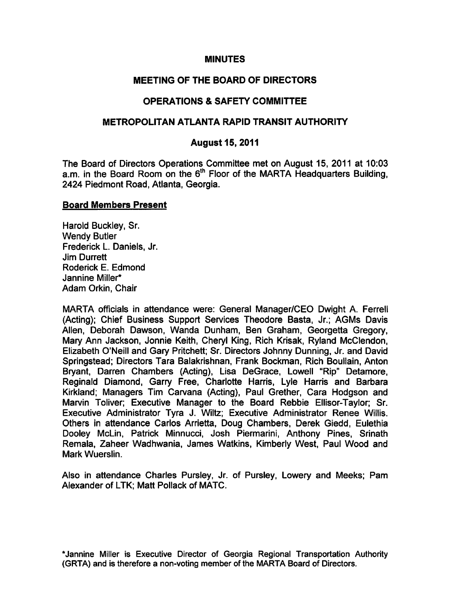#### **MINUTES**

# MEETING OF THE BOARD OF DIRECTORS

# OPERATIONS & SAFETY COMMITTEE

# METROPOLITAN ATLANTA RAPID TRANSIT AUTHORITY

# August 15, 2011

The Board of Directors Operations Committee met on August 15, 2011 at 10:03 a.m. in the Board Room on the  $6<sup>th</sup>$  Floor of the MARTA Headquarters Building, 2424 Piedmont Road, Atlanta, Georgia.

#### Board Members Present

Harold Buckley, Sr. Wendy Butler Frederick L. Daniels, Jr. Jim Durrett Roderick E. Edmond Jannine Miller\* Adam Orkin, Chair

MARTA officials in attendance were: General Manager/CEO Dwight A. Ferrell (Acting); Chief Business Support Services Theodore Basta, Jr.; AGMs Davis Allen, Deborah Dawson, Wanda Dunham, Ben Graham, Georgetta Gregory, Mary Ann Jackson, Jonnie Keith, Cheryl King, Rich Krisak, Ryland McClendon, Elizabeth O'Neill and Gary Pritchett; Sr. Directors Johnny Dunning, Jr. and David Springstead; Directors Tara Balakrishnan, Frank Bockman, Rich Boullain, Anton Bryant, Darren Chambers (Acting), Lisa DeGrace, Lowell "Rip" Detamore, Reginald Diamond, Garry Free, Charlotte Harris, Lyle Harris and Barbara Kirkland; Managers Tim Carvana (Acting), Paul Grether, Cara Hodgson and Marvin Toliver; Executive Manager to the Board Rebbie Ellisor-Taylor; Sr. Executive Administrator Tyra J. Wiltz; Executive Administrator Renee Willis. Others in attendance Carlos Arrietta, Doug Chambers, Derek Giedd, Eulethia Dooley McLin, Patrick Minnucci, Josh Piermarini, Anthony Pines, Srinath Remala, Zaheer Wadhwania, James Watkins, Kimberly West, Paul Wood and Mark Wuerslin.

Also in attendance Charles Pursley, Jr. of Pursley, Lowery and Meeks; Pam Alexander of LTK; Matt Pollack of MATC.

\*Jannine Miller is Executive Director of Georgia Regional Transportation Authority (GRTA) and is therefore a non-voting member of the MARTA Board of Directors.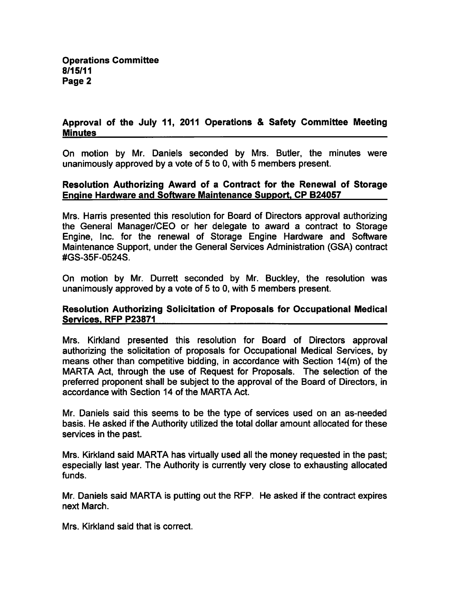# Approval of the July 11, 2011 Operations & Safety Committee Meeting **Minutes**

On motion by Mr. Daniels seconded by Mrs. Butler, the minutes were unanimously approved by a vote of  $5$  to 0, with  $5$  members present.

# Resolution Authorizing Award of a Contract for the Renewal of Storage Engine Hardware and Software Maintenance Support. CP B24057

Mrs. Harris presented this resolution for Board of Directors approval authorizing the General Manager/CEO or her delegate to award a contract to Storage Engine, Inc. for the renewal of Storage Engine Hardware and Software Maintenance Support, under the General Services Administration (GSA) contract #GS-35F-0524S.

On motion by Mr. Durrett seconded by Mr. Buckley, the resolution was unanimously approved by a vote of  $5$  to  $0$ , with  $5$  members present.

# Resolution Authorizing Solicitation of Proposals for Occupational Medical Services. RFP P23871

Mrs. Kirkland presented this resolution for Board of Directors approval authorizing the solicitation of proposals for Occupational Medical Services, by means other than competitive bidding, in accordance with Section 14(m) of the MARTA Act, through the use of Request for Proposals. The selection of the preferred proponent shall be subject to the approval of the Board of Directors, in accordance with Section 14 of the MARTA Act.

Mr. Daniels said this seems to be the type of services used on an as-needed basis. He asked if the Authority utilized the total dollar amount allocated for these services in the past.

Mrs. Kirkland said MARTA has virtually used all the money requested in the past; especially last year. The Authority is currently very close to exhausting allocated funds.

Mr. Daniels said MARTA is putting out the RFP. He asked if the contract expires next March.

Mrs. Kirkland said that is correct.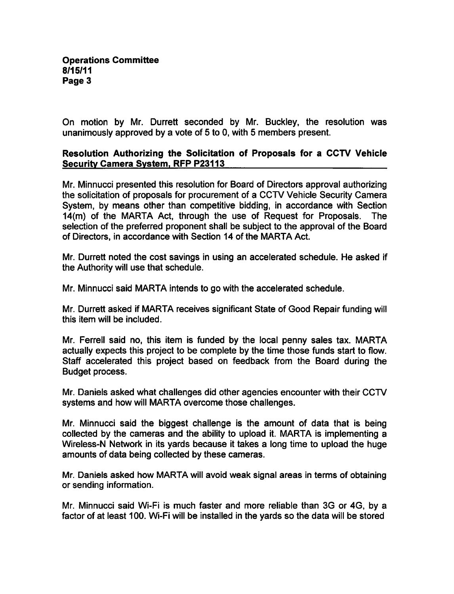On motion by Mr. Durrett seconded by Mr. Buckley, the resolution was unanimously approved by a vote of 5 to 0, with 5 members present.

# Resolution Authorizing the Solicitation of Proposals for a CCTV Vehicle Security Camera System. RFP P23113

Mr. Minnucci presented this resolution for Board of Directors approval authorizing the solicitation of proposals for procurement of a CCTV Vehicle Security Camera System, by means other than competitive bidding, in accordance with Section 14(m) of the MARTA Act, through the use of Request for Proposals. The selection of the preferred proponent shall be subject to the approval of the Board of Directors, in accordance with Section 14 of the MARTA Act.

Mr. Durrett noted the cost savings in using an accelerated schedule. He asked if the Authority will use that schedule.

Mr. Minnucci said MARTA intends to go with the accelerated schedule.

Mr. Durrett asked if MARTA receives significant State of Good Repair funding will this item will be included.

Mr. Ferrell said no, this item is funded by the local penny sales tax. MARTA actually expects this project to be complete by the time those funds start to flow. Staff accelerated this project based on feedback from the Board during the Budget process.

Mr. Daniels asked what challenges did other agencies encounter with their CCTV systems and how will MARTA overcome those challenges.

Mr. Minnucci said the biggest challenge is the amount of data that is being collected by the cameras and the ability to upload it. MARTA is implementing Wireless-N Network in its yards because it takes a long time to upload the huge amounts of data being collected by these cameras.

Mr. Daniels asked how MARTA will avoid weak signal areas in terms of obtaining or sending information.

Mr. Minnucci said Wi-Fi is much faster and more reliable than 3G or 4G, by a factor of at least 100. Wi-Fi will be installed in the yards so the data will be stored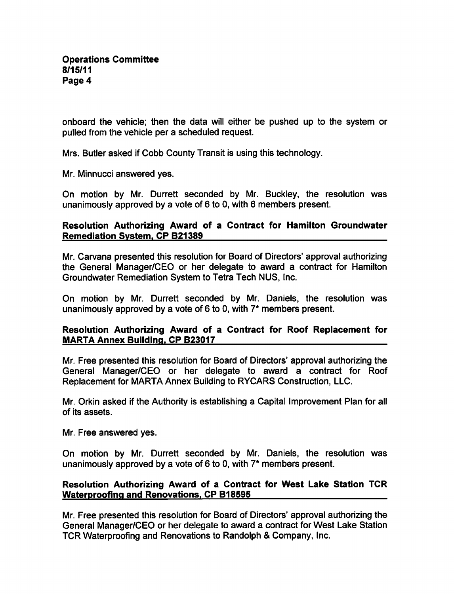onboard the vehicle; then the data will either be pushed up to the system or pulled from the vehicle per a scheduled request.

Mrs. Butler asked if Cobb County Transit is using this technology.

Mr. Minnucci answered yes.

On motion by Mr. Durrett seconded by Mr. Buckley, the resolution was unanimously approved by a vote of  $6$  to 0, with 6 members present.

### Resolution Authorizing Award of a Contract for Hamilton Groundwater Remediation System. CP B21389

Mr. Carvana presented this resolution for Board of Directors' approval authorizing the General Manager/CEO or her delegate to award a contract for Hamilton Groundwater Remediation System to Tetra Tech NUS, Inc.

On motion by Mr. Durrett seconded by Mr. Daniels, the resolution was unanimously approved by a vote of  $6$  to 0, with  $7^*$  members present.

#### Resolution Authorizing Award of a Contract for Roof Replacement for MARTA Annex Building. CP B23017

Mr. Free presented this resolution for Board of Directors' approval authorizing the General Manager/CEO or her delegate to award a contract for Roof Replacement for MARTA Annex Building to RYCARS Construction, LLC.

Mr. Orkin asked if the Authority is establishing a Capital Improvement Plan for all of its assets.

Mr. Free answered yes.

On motion by Mr. Durrett seconded by Mr. Daniels, the resolution was unanimously approved by a vote of 6 to 0, with  $7*$  members present.

# Resolution Authorizing Award of a Contract for West Lake Station TCR Waterproofing and Renovations. CP B18595

Mr. Free presented this resolution for Board of Directors' approval authorizing the General Manager/CEO or her delegate to award a contract for West Lake Station TCR Waterproofing and Renovations to Randolph & Company, Inc.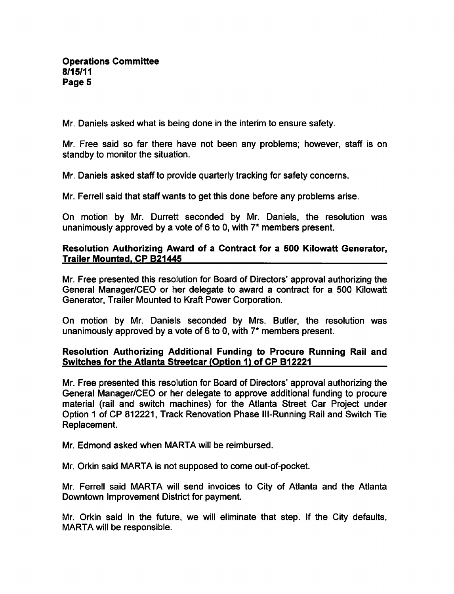Mr. Daniels asked what is being done in the interim to ensure safety.

Mr. Free said so far there have not been any problems; however, staff is on standby to monitor the situation.

Mr. Daniels asked staff to provide quarterly tracking for safety concerns.

Mr. Ferrell said that staff wants to get this done before any problems arise.

On motion by Mr. Durrett seconded by Mr. Daniels, the resolution was unanimously approved by a vote of 6 to 0, with  $7^*$  members present.

### Resolution Authorizing Award of a Contract for a 500 Kilowatt Generator, Trailer Mounted. CP B21445

Mr. Free presented this resolution for Board of Directors' approval authorizing the General Manager/CEO or her delegate to award a contract for a 500 Kilowatt Generator, Trailer Mounted to Kraft Power Corporation.

On motion by Mr. Daniels seconded by Mrs. Butler, the resolution was unanimously approved by a vote of 6 to 0, with  $7^*$  members present.

# Resolution Authorizing Additional Funding to Procure Running Rail and Switches for the Atlanta Streetcar (Option 1) of CP B12221

Mr. Free presented this resolution for Board of Directors' approval authorizing the General Manager/CEO or her delegate to approve additional funding to procure material (rail and switch machines) for the Atlanta Street Car Project under Option 1 of CP 812221, Track Renovation Phase III-Running Rail and Switch Tie Replacement.

Mr. Edmond asked when MARTA will be reimbursed.

Mr. Orkin said MARTA is not supposed to come out-of-pocket.

Mr. Ferrell said MARTA will send invoices to City of Atlanta and the Atlanta Downtown Improvement District for payment.

Mr. Orkin said in the future, we will eliminate that step. If the City defaults, MARTA will be responsible.